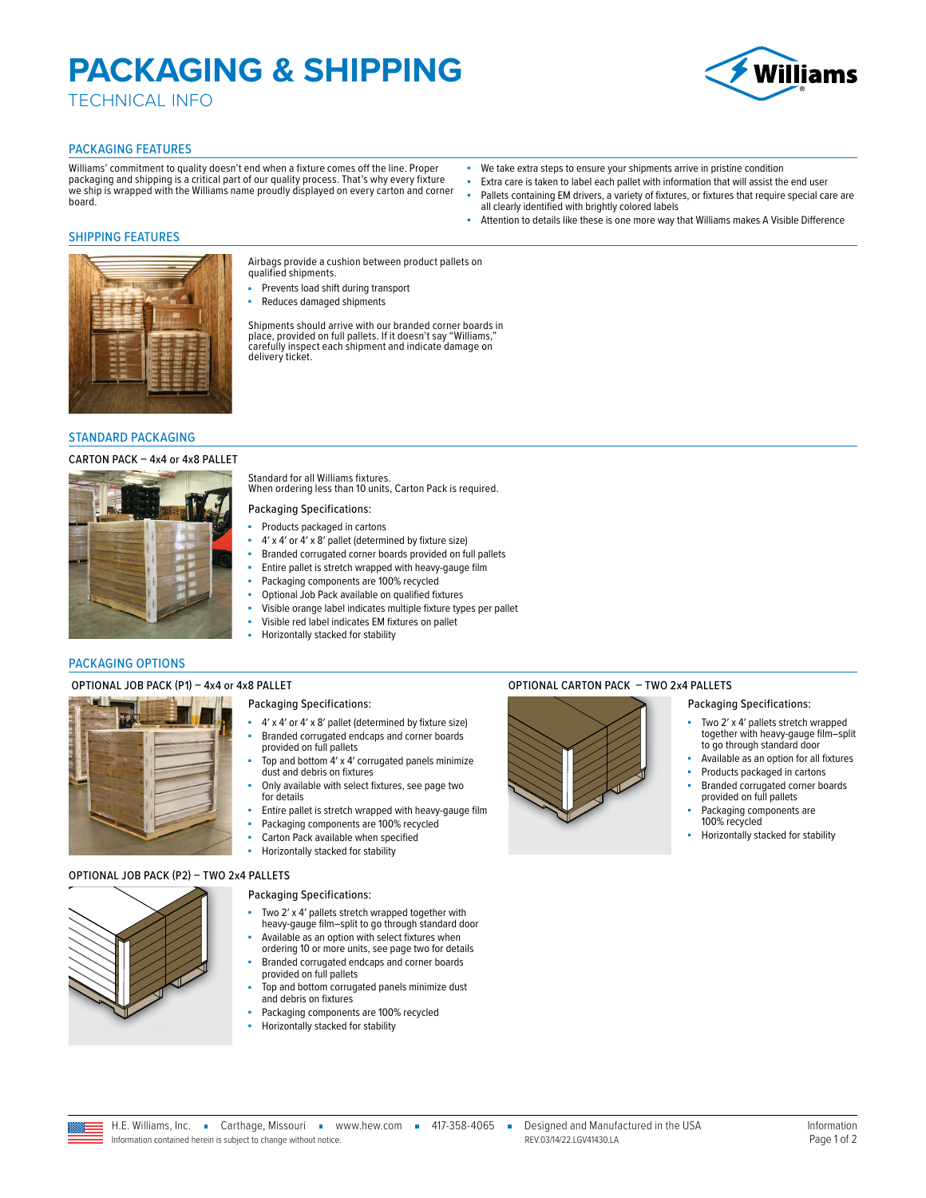# **PACKAGING & SHIPPING**

TECHNICAL INFO



### PACKAGING FEATURES

Williams' commitment to quality doesn't end when a fixture comes off the line. Proper packaging and shipping is a critical part of our quality process. That's why every fixture we ship is wrapped with the Williams name proudly displayed on every carton and corner board.

- We take extra steps to ensure your shipments arrive in pristine condition
- Extra care is taken to label each pallet with information that will assist the end user Pallets containing EM drivers, a variety of fixtures, or fixtures that require special care are
- all clearly identified with brightly colored labels Attention to details like these is one more way that Williams makes A Visible Difference

### SHIPPING FEATURES



### STANDARD PACKAGING

### CARTON PACK – 4x4 or 4x8 PALLET



Airbags provide a cushion between product pallets on qualified shipments.

- Prevents load shift during transport
- Reduces damaged shipments

Shipments should arrive with our branded corner boards in place, provided on full pallets. If it doesn't say "Williams," carefully inspect each shipment and indicate damage on delivery ticket.

Standard for all Williams fixtures. When ordering less than 10 units, Carton Pack is required.

### Packaging Specifications:

- Products packaged in cartons
- 4′ x 4′ or 4′ x 8′ pallet (determined by fixture size)
- Branded corrugated corner boards provided on full pallets
- Entire pallet is stretch wrapped with heavy-gauge film
- Packaging components are 100% recycled
- Optional Job Pack available on qualified fixtures
- Visible orange label indicates multiple fixture types per pallet
- Visible red label indicates EM fixtures on pallet
- Horizontally stacked for stability

### PACKAGING OPTIONS

### Packaging Specifications:

- 4′ x 4′ or 4′ x 8′ pallet (determined by fixture size) Branded corrugated endcaps and corner boards
- provided on full pallets Top and bottom  $4'$  x  $4'$  corrugated panels minimize
- dust and debris on fixtures Only available with select fixtures, see page two for details
- Entire pallet is stretch wrapped with heavy-gauge film
- Packaging components are 100% recycled
- Carton Pack available when specified
- Horizontally stacked for stability

### OPTIONAL JOB PACK (P2) – TWO 2x4 PALLETS



- Packaging Specifications:
- Two 2' x 4' pallets stretch wrapped together with heavy-gauge film–split to go through standard door
- Available as an option with select fixtures when ordering 10 or more units, see page two for details
- Branded corrugated endcaps and corner boards provided on full pallets
- Top and bottom corrugated panels minimize dust and debris on fixtures
- Packaging components are 100% recycled
- Horizontally stacked for stability

### OPTIONAL JOB PACK (P1) – 4x4 or 4x8 PALLET **CHARGE OPTIONAL CARTON PACK – TWO 2x4 PALLETS**



### Packaging Specifications:

- Two 2' x 4' pallets stretch wrapped together with heavy-gauge film–split to go through standard door
- Available as an option for all fixtures
- Products packaged in cartons
- Branded corrugated corner boards
- provided on full pallets Packaging components are
- 100% recycled
- Horizontally stacked for stability